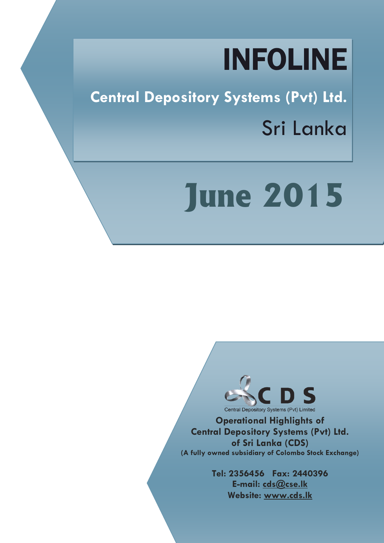## INFOLINE

**Central Depository Systems (Pvt) Ltd.** Sri Lanka

# **June 2015**



**Operational Highlights of Central Depository Systems (Pvt) Ltd. of Sri Lanka (CDS) (A fully owned subsidiary of Colombo Stock Exchange)**

> **Tel: 2356456 Fax: 2440396 E-mail: cds@cse.lk Website: www.cds.lk**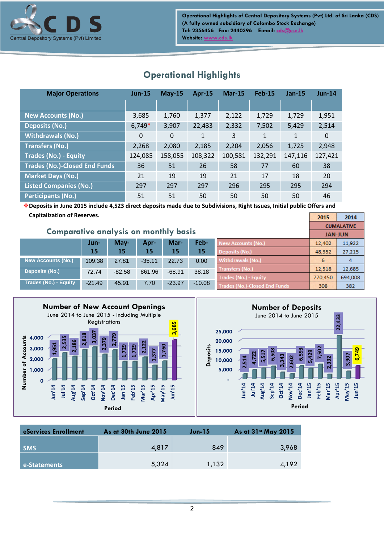

| <b>Major Operations</b>              | $Jun-15$ | $May-15$ | <b>Apr-15</b> | <b>Mar-15</b> | <b>Feb-15</b> | $Jan-15$     | $Jun-14$ |
|--------------------------------------|----------|----------|---------------|---------------|---------------|--------------|----------|
|                                      |          |          |               |               |               |              |          |
| <b>New Accounts (No.)</b>            | 3,685    | 1,760    | 1,377         | 2,122         | 1,729         | 1,729        | 1,951    |
| <b>Deposits (No.)</b>                | $6,749*$ | 3,907    | 22,433        | 2,332         | 7,502         | 5,429        | 2,514    |
| <b>Withdrawals (No.)</b>             | $\Omega$ | $\Omega$ | $\mathbf{1}$  | 3             | $\mathbf{1}$  | $\mathbf{1}$ | 0        |
| <b>Transfers (No.)</b>               | 2,268    | 2,080    | 2,185         | 2,204         | 2,056         | 1,725        | 2,948    |
| <b>Trades (No.) - Equity</b>         | 124,085  | 158,055  | 108,322       | 100,581       | 132,291       | 147,116      | 127,421  |
| <b>Trades (No.)-Closed End Funds</b> | 36       | 51       | 26            | 58            | 77            | 60           | 38       |
| <b>Market Days (No.)</b>             | 21       | 19       | 19            | 21            | 17            | 18           | 20       |
| <b>Listed Companies (No.)</b>        | 297      | 297      | 297           | 296           | 295           | 295          | 294      |
| <b>Participants (No.)</b>            | 51       | 51       | 50            | 50            | 50            | 50           | 46       |

## **Operational Highlights**

**Deposits in June 2015 include 4,523 direct deposits made due to Subdivisions, Right Issues, Initial public Offers and Capitalization of Reserves.**  $2015$ 

| <b>Comparative analysis on monthly basis</b> |                 |          |          |          |          |                               | <b>CUMALATIVE</b><br><b>JAN-JUN</b> |         |
|----------------------------------------------|-----------------|----------|----------|----------|----------|-------------------------------|-------------------------------------|---------|
|                                              | Jun-            | May-     | Apr-     | Mar-     | Feb-     | New Accounts (No.)            | 12,402                              | 11,922  |
|                                              | 15 <sub>l</sub> | 15       | 15       | 15       | 15       | Deposits (No.)                | 48,352                              | 27,215  |
| <b>New Accounts (No.)</b>                    | 109.38          | 27.81    | $-35.11$ | 22.73    | 0.00     | Withdrawals (No.)             | 6                                   | 4       |
| Deposits (No.)                               | 72.74           | $-82.58$ | 861.96   | $-68.91$ | 38.18    | <b>Transfers (No.)</b>        | 12,518                              | 12.685  |
|                                              |                 |          |          |          |          | Trades (No.) - Equity         | 770.450                             | 694,008 |
| Trades (No.) - Equity                        | $-21.49$        | 45.91    | 7.70     | $-23.97$ | $-10.08$ | Trades (No.)-Closed End Funds | 308                                 | 382     |





 $2014$ 

| eServices Enrollment | As at 30th June 2015 | $Jun-15$ | As at 31st May 2015 |
|----------------------|----------------------|----------|---------------------|
| <b>SMS</b>           | 4.817                | 849      | 3,968               |
| e-Statements         | 5,324                | 1,132    | 4.192               |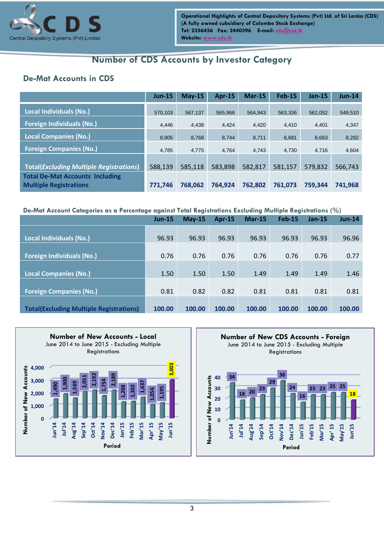

## **Number of CDS Accounts by Investor Category**

#### **De-Mat Accounts in CDS**

|                                                                         | $Jun-15$ | $May-15$ | $Apr-15$ | $Mar-15$ | <b>Feb-15</b> | $Jan-15$ | <b>Jun-14</b> |
|-------------------------------------------------------------------------|----------|----------|----------|----------|---------------|----------|---------------|
| <b>Local Individuals (No.)</b>                                          | 570.103  | 567.137  | 565.966  | 564.943  | 563,336       | 562.052  | 549,510       |
| <b>Foreign Individuals (No.)</b>                                        | 4.446    | 4,438    | 4,424    | 4,420    | 4,410         | 4,401    | 4,347         |
| <b>Local Companies (No.)</b>                                            | 8.805    | 8.768    | 8.744    | 8.711    | 8.681         | 8,663    | 8,282         |
| <b>Foreign Companies (No.)</b>                                          | 4.785    | 4,775    | 4,764    | 4,743    | 4,730         | 4,716    | 4,604         |
| <b>Total(Excluding Multiple Registrations)</b>                          | 588,139  | 585,118  | 583,898  | 582,817  | 581,157       | 579,832  | 566,743       |
| <b>Total De-Mat Accounts Including</b><br><b>Multiple Registrations</b> | 771,746  | 768.062  | 764.924  | 762.802  | 761.073       | 759.344  | 741,968       |

#### **De-Mat Account Categories as a Percentage against Total Registrations Excluding Multiple Registrations (%)**

|                                                | $Jun-15$ | $May-15$ | Apr-15 | <b>Mar-15</b> | <b>Feb-15</b> | $Jan-15$ | $Jun-14$ |
|------------------------------------------------|----------|----------|--------|---------------|---------------|----------|----------|
|                                                |          |          |        |               |               |          |          |
| <b>Local Individuals (No.)</b>                 | 96.93    | 96.93    | 96.93  | 96.93         | 96.93         | 96.93    | 96.96    |
|                                                |          |          |        |               |               |          |          |
| <b>Foreign Individuals (No.)</b>               | 0.76     | 0.76     | 0.76   | 0.76          | 0.76          | 0.76     | 0.77     |
|                                                |          |          |        |               |               |          |          |
| <b>Local Companies (No.)</b>                   | 1.50     | 1.50     | 1.50   | 1.49          | 1.49          | 1.49     | 1.46     |
|                                                |          |          |        |               |               |          |          |
| <b>Foreign Companies (No.)</b>                 | 0.81     | 0.82     | 0.82   | 0.81          | 0.81          | 0.81     | 0.81     |
|                                                |          |          |        |               |               |          |          |
| <b>Total(Excluding Multiple Registrations)</b> | 100.00   | 100.00   | 100.00 | 100.00        | 100.00        | 100.00   | 100.00   |



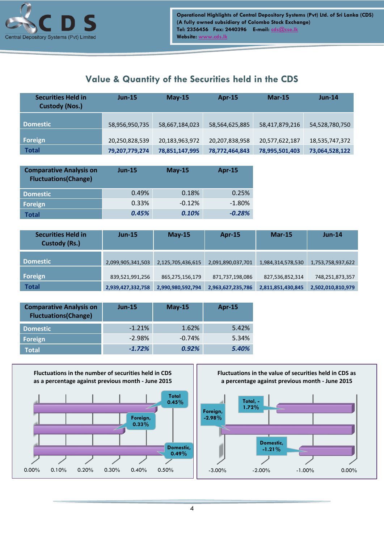

#### **Value & Quantity of the Securities held in the CDS**

| <b>Securities Held in</b><br><b>Custody (Nos.)</b> | $Jun-15$       | $May-15$       | $Apr-15$       | <b>Mar-15</b>  | $Jun-14$       |
|----------------------------------------------------|----------------|----------------|----------------|----------------|----------------|
| <b>Domestic</b>                                    | 58,956,950,735 | 58,667,184,023 | 58,564,625,885 | 58,417,879,216 | 54,528,780,750 |
| Foreign                                            | 20,250,828,539 | 20,183,963,972 | 20,207,838,958 | 20,577,622,187 | 18,535,747,372 |
| <b>Total</b>                                       | 79,207,779,274 | 78,851,147,995 | 78,772,464,843 | 78,995,501,403 | 73,064,528,122 |

| <b>Comparative Analysis on</b><br><b>Fluctuations(Change)</b> | <b>Jun-15</b> | $May-15$ | Apr-15    |
|---------------------------------------------------------------|---------------|----------|-----------|
| <b>Domestic</b>                                               | 0.49%         | 0.18%    | 0.25%     |
| <b>Foreign</b>                                                | 0.33%         | $-0.12%$ | $-1.80\%$ |
| Total                                                         | 0.45%         | 0.10%    | $-0.28%$  |

| <b>Securities Held in</b><br><b>Custody (Rs.)</b> | $Jun-15$          | May-15            | Apr-15            | <b>Mar-15</b>     | <b>Jun-14</b>     |
|---------------------------------------------------|-------------------|-------------------|-------------------|-------------------|-------------------|
| <b>Domestic</b>                                   | 2,099,905,341,503 | 2,125,705,436,615 | 2,091,890,037,701 | 1,984,314,578,530 | 1,753,758,937,622 |
| <b>Foreign</b>                                    | 839,521,991,256   | 865,275,156,179   | 871,737,198,086   | 827,536,852,314   | 748,251,873,357   |
| <b>Total</b>                                      | 2,939,427,332,758 | 2,990,980,592,794 | 2,963,627,235,786 | 2,811,851,430,845 | 2,502,010,810,979 |

| <b>Comparative Analysis on</b><br><b>Fluctuations(Change)</b> | $Jun-15$ | $May-15$ | Apr-15 |
|---------------------------------------------------------------|----------|----------|--------|
| <b>Domestic</b>                                               | $-1.21%$ | 1.62%    | 5.42%  |
| Foreign                                                       | $-2.98%$ | $-0.74%$ | 5.34%  |
| Total                                                         | $-1.72%$ | 0.92%    | 5.40%  |



**Fluctuations in the value of securities held in CDS as a percentage against previous month - June 2015**

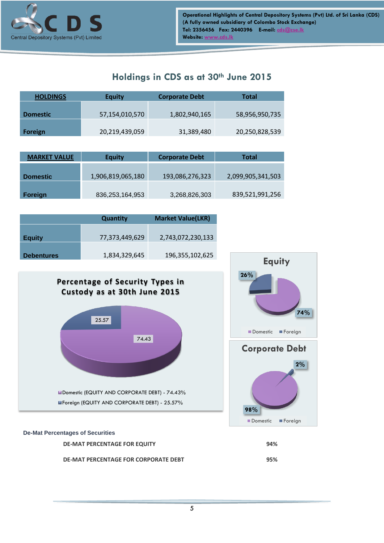

#### **Holdings in CDS as at 30th June 2015**

| <b>HOLDINGS</b> | <b>Equity</b>  | <b>Corporate Debt</b> | Total          |
|-----------------|----------------|-----------------------|----------------|
|                 |                |                       |                |
| <b>Domestic</b> | 57,154,010,570 | 1,802,940,165         | 58,956,950,735 |
|                 |                |                       |                |
| <b>Foreign</b>  | 20,219,439,059 | 31,389,480            | 20,250,828,539 |

| <b>MARKET VALUE</b> | <b>Equity</b>     | <b>Corporate Debt</b> | Total             |  |
|---------------------|-------------------|-----------------------|-------------------|--|
| <b>Domestic</b>     | 1,906,819,065,180 | 193,086,276,323       | 2,099,905,341,503 |  |
| Foreign             | 836,253,164,953   | 3,268,826,303         | 839,521,991,256   |  |

| <b>Quantity</b>   |                | <b>Market Value(LKR)</b> |  |  |
|-------------------|----------------|--------------------------|--|--|
| <b>Equity</b>     | 77,373,449,629 | 2,743,072,230,133        |  |  |
|                   |                |                          |  |  |
| <b>Debentures</b> | 1,834,329,645  | 196, 355, 102, 625       |  |  |

#### **Percentage of Security Types in Custody as at 30th June 2015**





#### **De-Mat Percentages of Securities**

| <b>DE-MAT PERCENTAGE FOR EQUITY</b>  | 94% |
|--------------------------------------|-----|
| DE-MAT PERCENTAGE FOR CORPORATE DEBT | 95% |